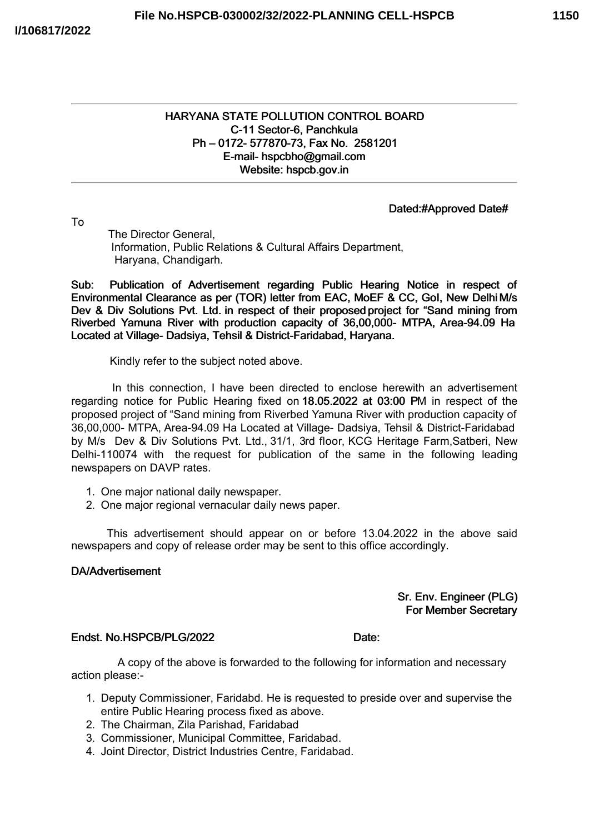# HARYANA STATE POLLUTION CONTROL BOARD C-11 Sector-6, Panchkula Ph – 0172- 577870-73, Fax No. 2581201 E-mail- hspcbho@gmail.com Website: hspcb.gov.in

# Dated:#Approved Date#

To

The Director General, Information, Public Relations & Cultural Affairs Department, Haryana, Chandigarh.

Sub: Publication of Advertisement regarding Public Hearing Notice in respect of Environmental Clearance as per (TOR) letter from EAC, MoEF & CC, GoI, New Delhi M/s Dev & Div Solutions Pvt. Ltd. in respect of their proposed project for "Sand mining from Riverbed Yamuna River with production capacity of 36,00,000- MTPA, Area-94.09 Ha Located at Village- Dadsiya, Tehsil & District-Faridabad, Haryana.

Kindly refer to the subject noted above.

In this connection, I have been directed to enclose herewith an advertisement regarding notice for Public Hearing fixed on 18.05.2022 at 03:00 PM in respect of the proposed project of "Sand mining from Riverbed Yamuna River with production capacity of 36,00,000- MTPA, Area-94.09 Ha Located at Village- Dadsiya, Tehsil & District-Faridabad by M/s Dev & Div Solutions Pvt. Ltd., 31/1, 3rd floor, KCG Heritage Farm,Satberi, New Delhi-110074 with the request for publication of the same in the following leading newspapers on DAVP rates.

- 1. One major national daily newspaper.
- 2. One major regional vernacular daily news paper.

This advertisement should appear on or before 13.04.2022 in the above said newspapers and copy of release order may be sent to this office accordingly.

# DA/Advertisement

Sr. Env. Engineer (PLG) For Member Secretary

#### Endst. No. HSPCB/PLG/2022 Date: Date:

A copy of the above is forwarded to the following for information and necessary action please:-

- 1. Deputy Commissioner, Faridabd. He is requested to preside over and supervise the entire Public Hearing process fixed as above.
- 2. The Chairman, Zila Parishad, Faridabad
- 3. Commissioner, Municipal Committee, Faridabad.
- 4. Joint Director, District Industries Centre, Faridabad.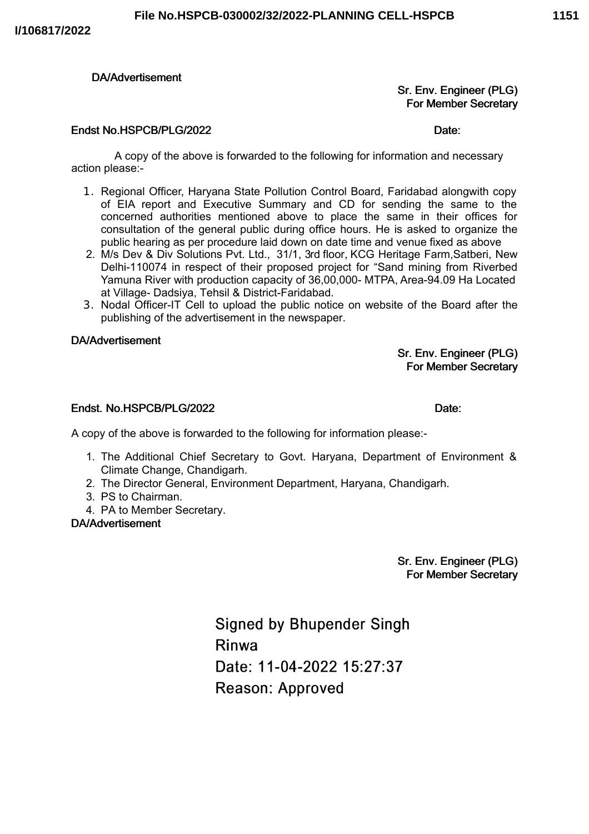# DA/Advertisement

# Sr. Env. Engineer (PLG) For Member Secretary

### Endst No.HSPCB/PLG/2022 Date:

A copy of the above is forwarded to the following for information and necessary action please:-

- 1. Regional Officer, Haryana State Pollution Control Board, Faridabad alongwith copy of EIA report and Executive Summary and CD for sending the same to the concerned authorities mentioned above to place the same in their offices for consultation of the general public during office hours. He is asked to organize the public hearing as per procedure laid down on date time and venue fixed as above
- 2. M/s Dev & Div Solutions Pvt. Ltd., 31/1, 3rd floor, KCG Heritage Farm,Satberi, New Delhi-110074 in respect of their proposed project for "Sand mining from Riverbed Yamuna River with production capacity of 36,00,000- MTPA, Area-94.09 Ha Located at Village- Dadsiya, Tehsil & District-Faridabad.
- 3. Nodal Officer-IT Cell to upload the public notice on website of the Board after the publishing of the advertisement in the newspaper.

### DA/Advertisement

Sr. Env. Engineer (PLG) For Member Secretary

#### Endst. No.HSPCB/PLG/2022 Date:

A copy of the above is forwarded to the following for information please:-

- 1. The Additional Chief Secretary to Govt. Haryana, Department of Environment & Climate Change, Chandigarh.
- 2. The Director General, Environment Department, Haryana, Chandigarh.
- 3. PS to Chairman.
- 4. PA to Member Secretary.

# DA/Advertisement

Sr. Env. Engineer (PLG) For Member Secretary

**Signed by Bhupender Singh** Rinwa Date: 11-04-2022 15:27:37 **Reason: Approved**